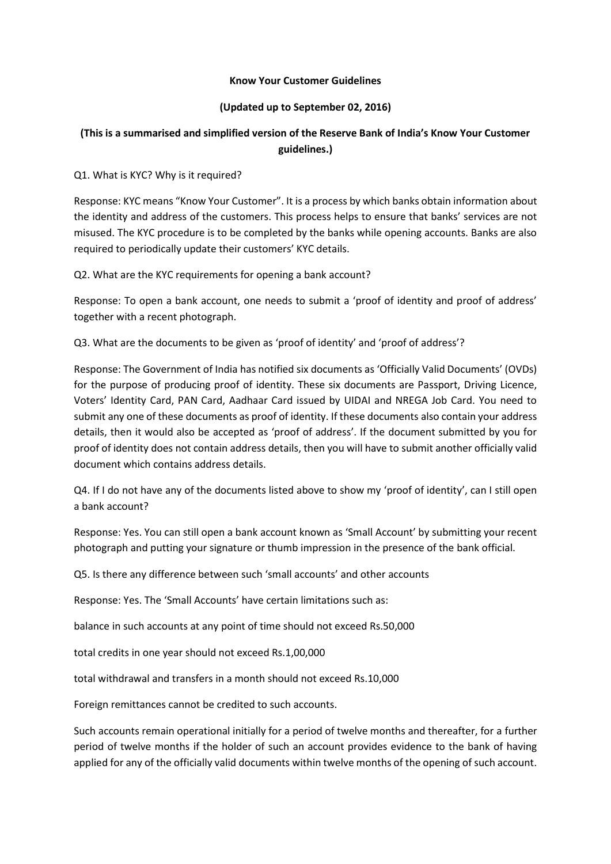## **Know Your Customer Guidelines**

## **(Updated up to September 02, 2016)**

## **(This is a summarised and simplified version of the Reserve Bank of India's Know Your Customer guidelines.)**

Q1. What is KYC? Why is it required?

Response: KYC means "Know Your Customer". It is a process by which banks obtain information about the identity and address of the customers. This process helps to ensure that banks' services are not misused. The KYC procedure is to be completed by the banks while opening accounts. Banks are also required to periodically update their customers' KYC details.

Q2. What are the KYC requirements for opening a bank account?

Response: To open a bank account, one needs to submit a 'proof of identity and proof of address' together with a recent photograph.

Q3. What are the documents to be given as 'proof of identity' and 'proof of address'?

Response: The Government of India has notified six documents as 'Officially Valid Documents' (OVDs) for the purpose of producing proof of identity. These six documents are Passport, Driving Licence, Voters' Identity Card, PAN Card, Aadhaar Card issued by UIDAI and NREGA Job Card. You need to submit any one of these documents as proof of identity. If these documents also contain your address details, then it would also be accepted as 'proof of address'. If the document submitted by you for proof of identity does not contain address details, then you will have to submit another officially valid document which contains address details.

Q4. If I do not have any of the documents listed above to show my 'proof of identity', can I still open a bank account?

Response: Yes. You can still open a bank account known as 'Small Account' by submitting your recent photograph and putting your signature or thumb impression in the presence of the bank official.

Q5. Is there any difference between such 'small accounts' and other accounts

Response: Yes. The 'Small Accounts' have certain limitations such as:

balance in such accounts at any point of time should not exceed Rs.50,000

total credits in one year should not exceed Rs.1,00,000

total withdrawal and transfers in a month should not exceed Rs.10,000

Foreign remittances cannot be credited to such accounts.

Such accounts remain operational initially for a period of twelve months and thereafter, for a further period of twelve months if the holder of such an account provides evidence to the bank of having applied for any of the officially valid documents within twelve months of the opening of such account.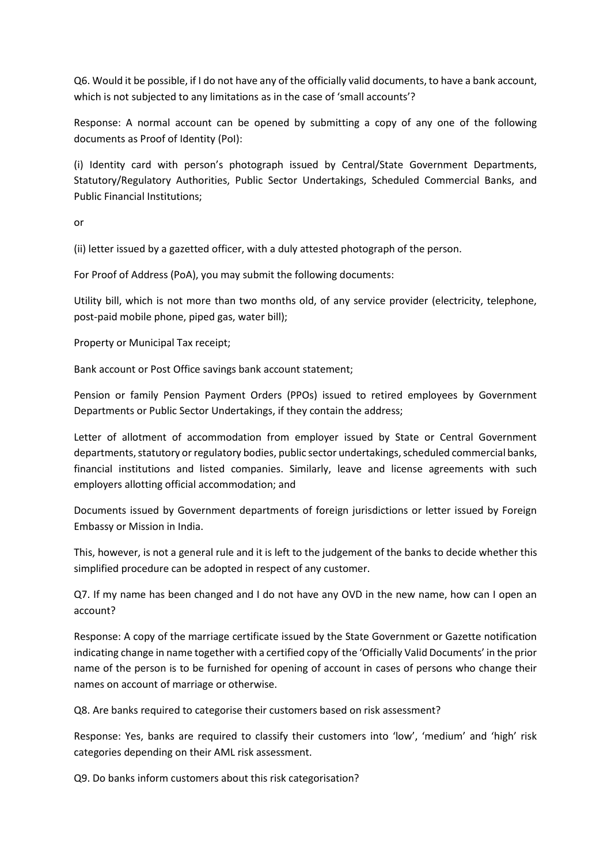Q6. Would it be possible, if I do not have any of the officially valid documents, to have a bank account, which is not subjected to any limitations as in the case of 'small accounts'?

Response: A normal account can be opened by submitting a copy of any one of the following documents as Proof of Identity (PoI):

(i) Identity card with person's photograph issued by Central/State Government Departments, Statutory/Regulatory Authorities, Public Sector Undertakings, Scheduled Commercial Banks, and Public Financial Institutions;

or

(ii) letter issued by a gazetted officer, with a duly attested photograph of the person.

For Proof of Address (PoA), you may submit the following documents:

Utility bill, which is not more than two months old, of any service provider (electricity, telephone, post-paid mobile phone, piped gas, water bill);

Property or Municipal Tax receipt;

Bank account or Post Office savings bank account statement;

Pension or family Pension Payment Orders (PPOs) issued to retired employees by Government Departments or Public Sector Undertakings, if they contain the address;

Letter of allotment of accommodation from employer issued by State or Central Government departments, statutory or regulatory bodies, public sector undertakings, scheduled commercial banks, financial institutions and listed companies. Similarly, leave and license agreements with such employers allotting official accommodation; and

Documents issued by Government departments of foreign jurisdictions or letter issued by Foreign Embassy or Mission in India.

This, however, is not a general rule and it is left to the judgement of the banks to decide whether this simplified procedure can be adopted in respect of any customer.

Q7. If my name has been changed and I do not have any OVD in the new name, how can I open an account?

Response: A copy of the marriage certificate issued by the State Government or Gazette notification indicating change in name together with a certified copy of the 'Officially Valid Documents' in the prior name of the person is to be furnished for opening of account in cases of persons who change their names on account of marriage or otherwise.

Q8. Are banks required to categorise their customers based on risk assessment?

Response: Yes, banks are required to classify their customers into 'low', 'medium' and 'high' risk categories depending on their AML risk assessment.

Q9. Do banks inform customers about this risk categorisation?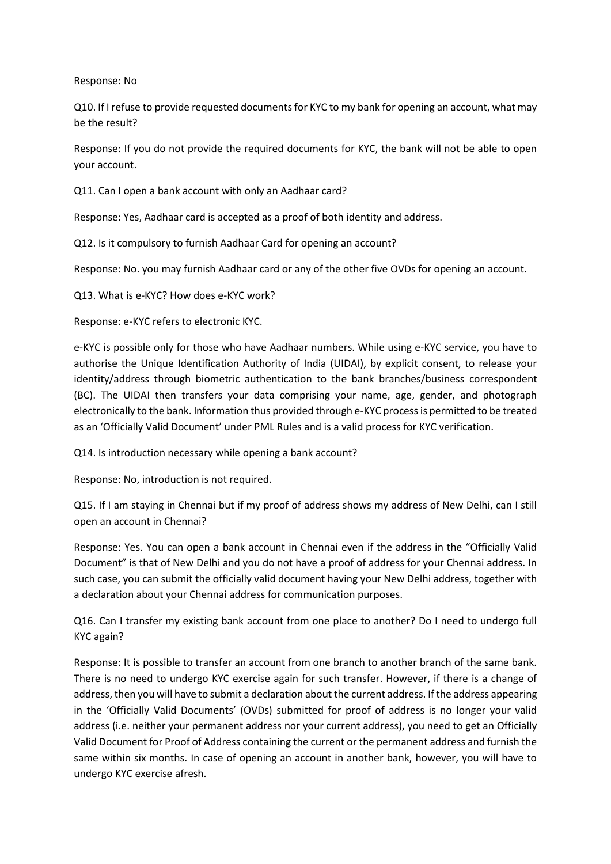Response: No

Q10. If I refuse to provide requested documents for KYC to my bank for opening an account, what may be the result?

Response: If you do not provide the required documents for KYC, the bank will not be able to open your account.

Q11. Can I open a bank account with only an Aadhaar card?

Response: Yes, Aadhaar card is accepted as a proof of both identity and address.

Q12. Is it compulsory to furnish Aadhaar Card for opening an account?

Response: No. you may furnish Aadhaar card or any of the other five OVDs for opening an account.

Q13. What is e-KYC? How does e-KYC work?

Response: e-KYC refers to electronic KYC.

e-KYC is possible only for those who have Aadhaar numbers. While using e-KYC service, you have to authorise the Unique Identification Authority of India (UIDAI), by explicit consent, to release your identity/address through biometric authentication to the bank branches/business correspondent (BC). The UIDAI then transfers your data comprising your name, age, gender, and photograph electronically to the bank. Information thus provided through e-KYC process is permitted to be treated as an 'Officially Valid Document' under PML Rules and is a valid process for KYC verification.

Q14. Is introduction necessary while opening a bank account?

Response: No, introduction is not required.

Q15. If I am staying in Chennai but if my proof of address shows my address of New Delhi, can I still open an account in Chennai?

Response: Yes. You can open a bank account in Chennai even if the address in the "Officially Valid Document" is that of New Delhi and you do not have a proof of address for your Chennai address. In such case, you can submit the officially valid document having your New Delhi address, together with a declaration about your Chennai address for communication purposes.

Q16. Can I transfer my existing bank account from one place to another? Do I need to undergo full KYC again?

Response: It is possible to transfer an account from one branch to another branch of the same bank. There is no need to undergo KYC exercise again for such transfer. However, if there is a change of address, then you will have to submit a declaration about the current address. If the address appearing in the 'Officially Valid Documents' (OVDs) submitted for proof of address is no longer your valid address (i.e. neither your permanent address nor your current address), you need to get an Officially Valid Document for Proof of Address containing the current or the permanent address and furnish the same within six months. In case of opening an account in another bank, however, you will have to undergo KYC exercise afresh.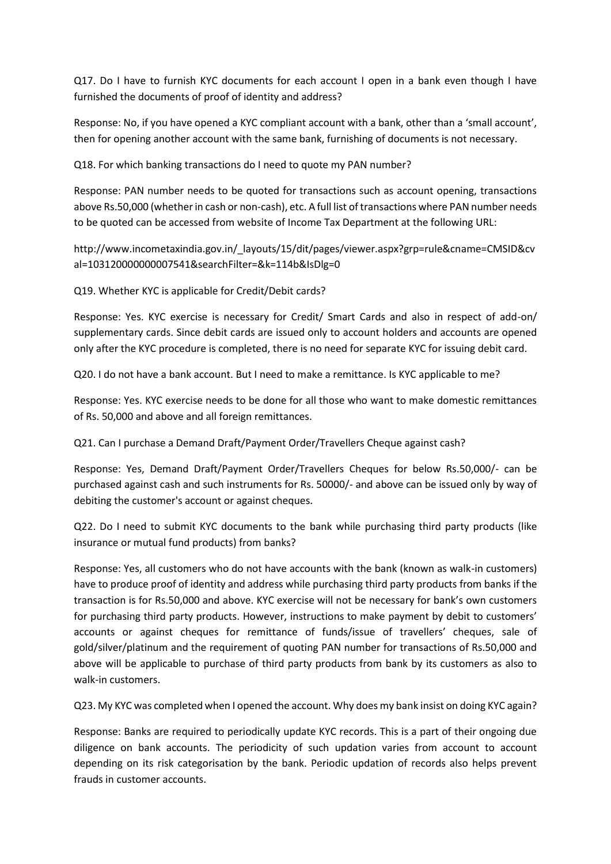Q17. Do I have to furnish KYC documents for each account I open in a bank even though I have furnished the documents of proof of identity and address?

Response: No, if you have opened a KYC compliant account with a bank, other than a 'small account', then for opening another account with the same bank, furnishing of documents is not necessary.

Q18. For which banking transactions do I need to quote my PAN number?

Response: PAN number needs to be quoted for transactions such as account opening, transactions above Rs.50,000 (whether in cash or non-cash), etc. A full list of transactions where PAN number needs to be quoted can be accessed from website of Income Tax Department at the following URL:

http://www.incometaxindia.gov.in/\_layouts/15/dit/pages/viewer.aspx?grp=rule&cname=CMSID&cv al=103120000000007541&searchFilter=&k=114b&IsDlg=0

Q19. Whether KYC is applicable for Credit/Debit cards?

Response: Yes. KYC exercise is necessary for Credit/ Smart Cards and also in respect of add-on/ supplementary cards. Since debit cards are issued only to account holders and accounts are opened only after the KYC procedure is completed, there is no need for separate KYC for issuing debit card.

Q20. I do not have a bank account. But I need to make a remittance. Is KYC applicable to me?

Response: Yes. KYC exercise needs to be done for all those who want to make domestic remittances of Rs. 50,000 and above and all foreign remittances.

Q21. Can I purchase a Demand Draft/Payment Order/Travellers Cheque against cash?

Response: Yes, Demand Draft/Payment Order/Travellers Cheques for below Rs.50,000/- can be purchased against cash and such instruments for Rs. 50000/- and above can be issued only by way of debiting the customer's account or against cheques.

Q22. Do I need to submit KYC documents to the bank while purchasing third party products (like insurance or mutual fund products) from banks?

Response: Yes, all customers who do not have accounts with the bank (known as walk-in customers) have to produce proof of identity and address while purchasing third party products from banks if the transaction is for Rs.50,000 and above. KYC exercise will not be necessary for bank's own customers for purchasing third party products. However, instructions to make payment by debit to customers' accounts or against cheques for remittance of funds/issue of travellers' cheques, sale of gold/silver/platinum and the requirement of quoting PAN number for transactions of Rs.50,000 and above will be applicable to purchase of third party products from bank by its customers as also to walk-in customers.

Q23. My KYC was completed when I opened the account. Why does my bank insist on doing KYC again?

Response: Banks are required to periodically update KYC records. This is a part of their ongoing due diligence on bank accounts. The periodicity of such updation varies from account to account depending on its risk categorisation by the bank. Periodic updation of records also helps prevent frauds in customer accounts.